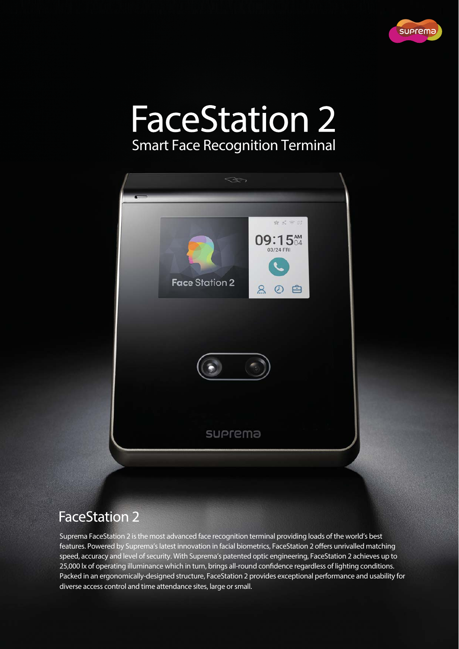

## **FaceStation 2** Smart Face Recognition Terminal



### **FaceStation 2**

Suprema FaceStation 2 is the most advanced face recognition terminal providing loads of the world's best features. Powered by Suprema's latest innovation in facial biometrics, FaceStation 2 offers unrivalled matching speed, accuracy and level of security. With Suprema's patented optic engineering, FaceStation 2 achieves up to 25,000 lx of operating illuminance which in turn, brings all-round confidence regardless of lighting conditions. Packed in an ergonomically-designed structure, FaceStation 2 provides exceptional performance and usability for diverse access control and time attendance sites, large or small.